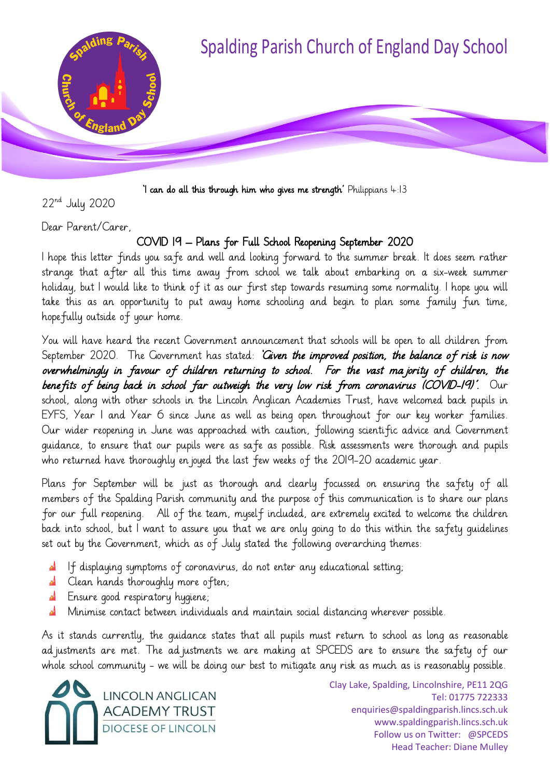

'I can do all this through him who gives me strength' Philippians  $4:13$ 

22nd July 2020

Dear Parent/Carer,

### COVID 19 – Plans for Full School Reopening September 2020

I hope this letter finds you safe and well and looking forward to the summer break. It does seem rather strange that after all this time away from school we talk about embarking on a six-week summer holiday, but I would like to think of it as our first step towards resuming some normality. I hope you will take this as an opportunity to put away home schooling and begin to plan some family fun time, hopefully outside of your home.

You will have heard the recent Government announcement that schools will be open to all children from September 2020. The Government has stated: 'Given the improved position, the balance of risk is now overwhelmingly in favour of children returning to school. For the vast majority of children, the benefits of being back in school far outweigh the very low risk from coronavirus (COVID-19)'. Our school, along with other schools in the Lincoln Anglican Academies Trust, have welcomed back pupils in EYFS, Year 1 and Year 6 since June as well as being open throughout for our key worker families. Our wider reopening in June was approached with caution, following scientific advice and Government guidance, to ensure that our pupils were as safe as possible. Risk assessments were thorough and pupils who returned have thoroughly en joyed the last few weeks of the 2019-20 academic year.

Plans for September will be just as thorough and clearly focussed on ensuring the safety of all members of the Spalding Parish community and the purpose of this communication is to share our plans for our full reopening. All of the team, myself included, are extremely excited to welcome the children back into school, but I want to assure you that we are only going to do this within the safety guidelines set out by the Government, which as of July stated the following overarching themes:

- If displaying symptoms of coronavirus, do not enter any educational setting;
- **A** Clean hands thoroughly more often;
- Ensure good respiratory hygiene;
- Minimise contact between individuals and maintain social distancing wherever possible.

As it stands currently, the guidance states that all pupils must return to school as long as reasonable ad justments are met. The ad justments we are making at SPCEDS are to ensure the safety of our whole school community - we will be doing our best to mitigate any risk as much as is reasonably possible.

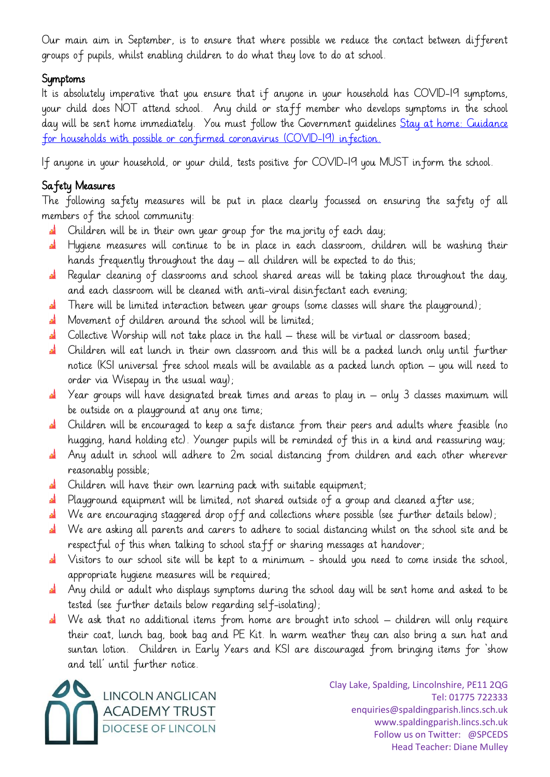Our main aim in September, is to ensure that where possible we reduce the contact between different groups of pupils, whilst enabling children to do what they love to do at school.

## Symptoms

It is absolutely imperative that you ensure that if anyone in your household has COVID-19 symptoms, your child does NOT attend school. Any child or staff member who develops symptoms in the school day will be sent home immediately. You must follow the Government guidelines [Stay at home: Guidance](https://www.gov.uk/government/publications/covid-19-stay-at-home-guidance/stay-at-home-guidance-for-households-with-possible-coronavirus-covid-19-infection)  [for households with possible or confirmed coronavirus \(COVID-19\) infection.](https://www.gov.uk/government/publications/covid-19-stay-at-home-guidance/stay-at-home-guidance-for-households-with-possible-coronavirus-covid-19-infection)

If anyone in your household, or your child, tests positive for COVID-19 you MUST inform the school.

# Safety Measures

The following safety measures will be put in place clearly focussed on ensuring the safety of all members of the school community:

- Children will be in their own year group for the majority of each day;
- Hygiene measures will continue to be in place in each classroom, children will be washing their hands frequently throughout the day – all children will be expected to do this;
- **A** Regular cleaning of classrooms and school shared areas will be taking place throughout the day, and each classroom will be cleaned with anti-viral disinfectant each evening;
- There will be limited interaction between year groups (some classes will share the playground); الله
- **A** Movement of children around the school will be limited;
- $\mathbf{a}^{\mathbf{i}}$  Collective Worship will not take place in the hall  $-$  these will be virtual or classroom based;
- الم Children will eat lunch in their own classroom and this will be a packed lunch only until further notice (KS1 universal free school meals will be available as a packed lunch option – you will need to order via Wisepay in the usual way);
- Year groups will have designated break times and areas to play in only 3 classes maximum will be outside on a playground at any one time;
- **A** Children will be encouraged to keep a safe distance from their peers and adults where feasible (no hugging, hand holding etc). Younger pupils will be reminded of this in a kind and reassuring way;
- Any adult in school will adhere to 2m social distancing from children and each other wherever கி reasonably possible;
- Children will have their own learning pack with suitable equipment;
- **A** Playground equipment will be limited, not shared outside of a group and cleaned after use;
- We are encouraging staggered drop off and collections where possible (see further details below);
- al. We are asking all parents and carers to adhere to social distancing whilst on the school site and be respectful of this when talking to school staff or sharing messages at handover;
- Visitors to our school site will be kept to a minimum should you need to come inside the school, الم appropriate hygiene measures will be required;
- **A** Any child or adult who displays symptoms during the school day will be sent home and asked to be tested (see further details below regarding self-isolating);
- **al** We ask that no additional items from home are brought into school children will only require their coat, lunch bag, book bag and PE Kit. In warm weather they can also bring a sun hat and suntan lotion. Children in Early Years and KS1 are discouraged from bringing items for 'show and tell' until further notice.

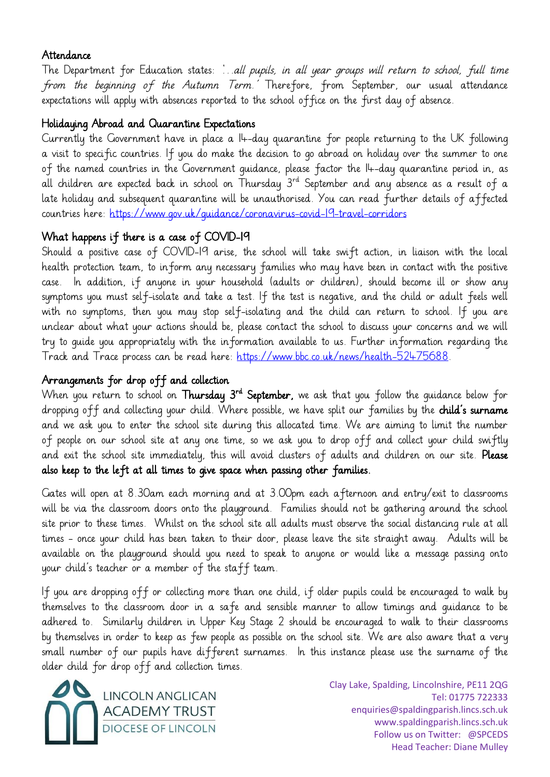### Attendance

The Department for Education states: '…all pupils, in all year groups will return to school, full time from the beginning of the Autumn Term.' Therefore, from September, our usual attendance expectations will apply with absences reported to the school office on the first day of absence.

## Holidaying Abroad and Quarantine Expectations

Currently the Government have in place a 14-day quarantine for people returning to the UK following a visit to specific countries. If you do make the decision to go abroad on holiday over the summer to one of the named countries in the Government guidance, please factor the 14-day quarantine period in, as all children are expected back in school on Thursday  $3^{rd}$  September and any absence as a result of a late holiday and subsequent quarantine will be unauthorised. You can read further details of affected countries here:<https://www.gov.uk/guidance/coronavirus-covid-19-travel-corridors>

# What happens if there is a case of COVID-19

Should a positive case of COVID-19 arise, the school will take swift action, in liaison with the local health protection team, to inform any necessary families who may have been in contact with the positive case. In addition, if anyone in your household (adults or children), should become ill or show any symptoms you must self-isolate and take a test. If the test is negative, and the child or adult feels well with no symptoms, then you may stop self-isolating and the child can return to school. If you are unclear about what your actions should be, please contact the school to discuss your concerns and we will try to guide you appropriately with the information available to us. Further information regarding the Track and Trace process can be read here: [https://www.bbc.co.uk/news/health-52475688.](https://www.bbc.co.uk/news/health-52475688)

# Arrangements for drop off and collection

When you return to school on **Thursday 3<sup>rd</sup> September,** we ask that you follow the guidance below for dropping off and collecting your child. Where possible, we have split our families by the child's surname and we ask you to enter the school site during this allocated time. We are aiming to limit the number of people on our school site at any one time, so we ask you to drop off and collect your child swiftly and exit the school site immediately, this will avoid clusters of adults and children on our site. Please also keep to the left at all times to give space when passing other families.

Gates will open at 8.30am each morning and at 3.00pm each afternoon and entry/exit to classrooms will be via the classroom doors onto the playground. Families should not be gathering around the school site prior to these times. Whilst on the school site all adults must observe the social distancing rule at all times - once your child has been taken to their door, please leave the site straight away. Adults will be available on the playground should you need to speak to anyone or would like a message passing onto your child's teacher or a member of the staff team.

If you are dropping off or collecting more than one child, if older pupils could be encouraged to walk by themselves to the classroom door in a safe and sensible manner to allow timings and guidance to be adhered to. Similarly children in Upper Key Stage 2 should be encouraged to walk to their classrooms by themselves in order to keep as few people as possible on the school site. We are also aware that a very small number of our pupils have different surnames. In this instance please use the surname of the older child for drop off and collection times.

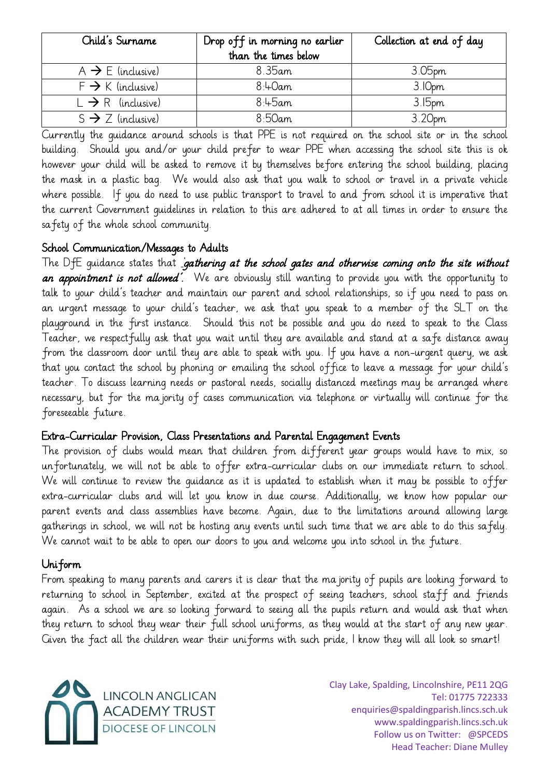| Child's Surname               | Drop off in morning no earlier | Collection at end of day |
|-------------------------------|--------------------------------|--------------------------|
|                               | than the times below           |                          |
| $A \rightarrow E$ (inclusive) | 8.35am                         | 3.05 <sub>pm</sub>       |
| $F \rightarrow K$ (inclusive) | $8:4$ Oam                      | 3.10pm                   |
| $L \rightarrow R$ (inclusive) | $8:45$ am                      | 3.15 <sub>pm</sub>       |
| $S \rightarrow Z$ (inclusive) | $8:50$ am                      | 3.20pm                   |

Currently the guidance around schools is that PPE is not required on the school site or in the school building. Should you and/or your child prefer to wear PPE when accessing the school site this is ok however your child will be asked to remove it by themselves before entering the school building, placing the mask in a plastic bag. We would also ask that you walk to school or travel in a private vehicle where possible. If you do need to use public transport to travel to and from school it is imperative that the current Government guidelines in relation to this are adhered to at all times in order to ensure the safety of the whole school community.

#### School Communication/Messages to Adults

The DfE guidance states that *gathering at the school gates and otherwise coming onto the site without* an appointment is not allowed'. We are obviously still wanting to provide you with the opportunity to talk to your child's teacher and maintain our parent and school relationships, so if you need to pass on an urgent message to your child's teacher, we ask that you speak to a member of the SLT on the playground in the first instance. Should this not be possible and you do need to speak to the Class Teacher, we respectfully ask that you wait until they are available and stand at a safe distance away from the classroom door until they are able to speak with you. If you have a non-urgent query, we ask that you contact the school by phoning or emailing the school office to leave a message for your child's teacher. To discuss learning needs or pastoral needs, socially distanced meetings may be arranged where necessary, but for the majority of cases communication via telephone or virtually will continue for the foreseeable future.

#### Extra-Curricular Provision, Class Presentations and Parental Engagement Events

The provision of clubs would mean that children from different year groups would have to mix, so unfortunately, we will not be able to offer extra-curricular clubs on our immediate return to school. We will continue to review the guidance as it is updated to establish when it may be possible to offer extra-curricular clubs and will let you know in due course. Additionally, we know how popular our parent events and class assemblies have become. Again, due to the limitations around allowing large gatherings in school, we will not be hosting any events until such time that we are able to do this safely. We cannot wait to be able to open our doors to you and welcome you into school in the future.

### Uniform

From speaking to many parents and carers it is clear that the majority of pupils are looking forward to returning to school in September, excited at the prospect of seeing teachers, school staff and friends again. As a school we are so looking forward to seeing all the pupils return and would ask that when they return to school they wear their full school uniforms, as they would at the start of any new year. Given the fact all the children wear their uniforms with such pride, I know they will all look so smart!